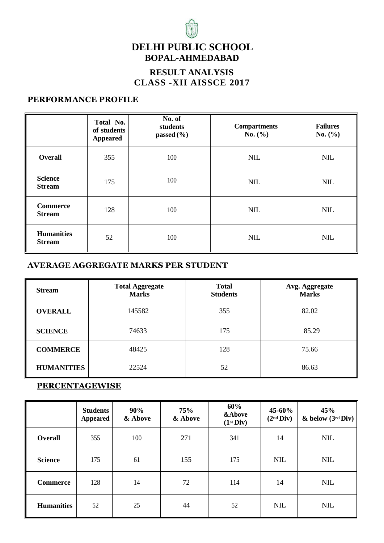

# **DELHI PUBLIC SCHOOL BOPAL-AHMEDABAD**

### **RESULT ANALYSIS CLASS -XII AISSCE 2017**

#### **PERFORMANCE PROFILE**

|                                    | Total No.<br>of students<br><b>Appeared</b> | No. of<br>students<br>passed $(\% )$ | <b>Compartments</b><br>No. $(\% )$ | <b>Failures</b><br>No. $(\% )$ |
|------------------------------------|---------------------------------------------|--------------------------------------|------------------------------------|--------------------------------|
| <b>Overall</b>                     | 355                                         | 100                                  | <b>NIL</b>                         | <b>NIL</b>                     |
| <b>Science</b><br><b>Stream</b>    | 175                                         | 100                                  | <b>NIL</b>                         | NIL                            |
| <b>Commerce</b><br><b>Stream</b>   | 128                                         | 100                                  | <b>NIL</b>                         | <b>NIL</b>                     |
| <b>Humanities</b><br><b>Stream</b> | 52                                          | 100                                  | <b>NIL</b>                         | <b>NIL</b>                     |

#### **AVERAGE AGGREGATE MARKS PER STUDENT**

| <b>Stream</b>              | <b>Total Aggregate</b><br><b>Marks</b> | <b>Total</b><br><b>Students</b> | Avg. Aggregate<br><b>Marks</b> |  |
|----------------------------|----------------------------------------|---------------------------------|--------------------------------|--|
| <b>OVERALL</b>             | 145582                                 | 355                             | 82.02                          |  |
| <b>SCIENCE</b>             | 74633                                  | 175                             | 85.29                          |  |
| <b>COMMERCE</b>            | 48425                                  |                                 | 75.66                          |  |
| <b>HUMANITIES</b><br>22524 |                                        | 52                              | 86.63                          |  |

#### **PERCENTAGEWISE**

|                   | <b>Students</b><br><b>Appeared</b> | 90%<br>& Above | 75%<br>& Above | 60%<br><b>&amp;Above</b><br>(1 <sup>st</sup> Div) | 45-60%<br>(2 <sup>nd</sup> Div) | 45%<br>$\&$ below $(3^{rd}$ Div) |
|-------------------|------------------------------------|----------------|----------------|---------------------------------------------------|---------------------------------|----------------------------------|
| Overall           | 355                                | 100            | 271            | 341                                               | 14                              | <b>NIL</b>                       |
| <b>Science</b>    | 175                                | 61             | 155            | 175                                               | <b>NIL</b>                      | <b>NIL</b>                       |
| <b>Commerce</b>   | 128                                | 14             | 72             | 114                                               | 14                              | <b>NIL</b>                       |
| <b>Humanities</b> | 52                                 | 25             | 44             | 52                                                | <b>NIL</b>                      | <b>NIL</b>                       |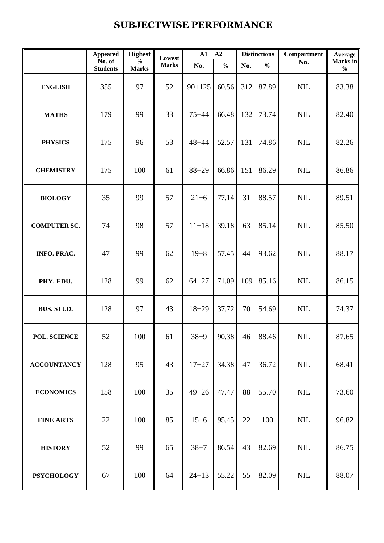## **SUBJECTWISE PERFORMANCE**

|                     | <b>Appeared</b>           | <b>Highest</b>                | Lowest       | $A1 + A2$  |               | <b>Distinctions</b> |               | Compartment  | Average                   |
|---------------------|---------------------------|-------------------------------|--------------|------------|---------------|---------------------|---------------|--------------|---------------------------|
|                     | No. of<br><b>Students</b> | $\frac{0}{0}$<br><b>Marks</b> | <b>Marks</b> | No.        | $\frac{0}{0}$ | No.                 | $\frac{0}{0}$ | No.          | Marks in<br>$\frac{0}{0}$ |
| <b>ENGLISH</b>      | 355                       | 97                            | 52           | $90 + 125$ | 60.56         | 312                 | 87.89         | <b>NIL</b>   | 83.38                     |
| <b>MATHS</b>        | 179                       | 99                            | 33           | $75 + 44$  | 66.48         | 132                 | 73.74         | $\text{NIL}$ | 82.40                     |
| <b>PHYSICS</b>      | 175                       | 96                            | 53           | $48 + 44$  | 52.57         | 131                 | 74.86         | NIL          | 82.26                     |
| <b>CHEMISTRY</b>    | 175                       | 100                           | 61           | $88 + 29$  | 66.86         | 151                 | 86.29         | <b>NIL</b>   | 86.86                     |
| <b>BIOLOGY</b>      | 35                        | 99                            | 57           | $21 + 6$   | 77.14         | 31                  | 88.57         | NIL          | 89.51                     |
| <b>COMPUTER SC.</b> | 74                        | 98                            | 57           | $11 + 18$  | 39.18         | 63                  | 85.14         | NIL          | 85.50                     |
| <b>INFO. PRAC.</b>  | 47                        | 99                            | 62           | $19 + 8$   | 57.45         | 44                  | 93.62         | <b>NIL</b>   | 88.17                     |
| PHY. EDU.           | 128                       | 99                            | 62           | $64 + 27$  | 71.09         | 109                 | 85.16         | NIL          | 86.15                     |
| <b>BUS. STUD.</b>   | 128                       | 97                            | 43           | $18 + 29$  | 37.72         | 70                  | 54.69         | <b>NIL</b>   | 74.37                     |
| POL. SCIENCE        | 52                        | 100                           | 61           | $38 + 9$   | 90.38         | 46                  | 88.46         | <b>NIL</b>   | 87.65                     |
| <b>ACCOUNTANCY</b>  | 128                       | 95                            | 43           | $17 + 27$  | 34.38         | 47                  | 36.72         | $\mbox{NIL}$ | 68.41                     |
| <b>ECONOMICS</b>    | 158                       | 100                           | 35           | $49 + 26$  | 47.47         | 88                  | 55.70         | $\mbox{NIL}$ | 73.60                     |
| <b>FINE ARTS</b>    | 22                        | 100                           | 85           | $15 + 6$   | 95.45         | 22                  | 100           | $NIL$        | 96.82                     |
| <b>HISTORY</b>      | 52                        | 99                            | 65           | $38 + 7$   | 86.54         | 43                  | 82.69         | $\text{NIL}$ | 86.75                     |
| <b>PSYCHOLOGY</b>   | 67                        | 100                           | 64           | $24 + 13$  | 55.22         | 55                  | 82.09         | $NIL$        | 88.07                     |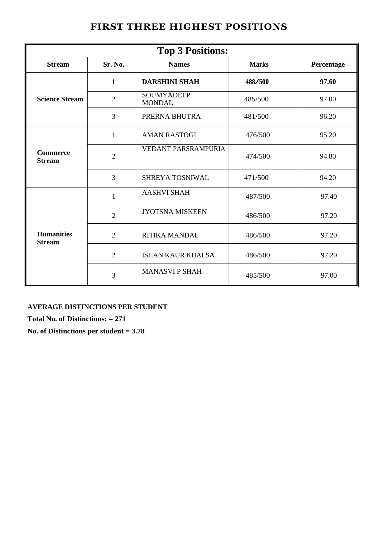| <b>Top 3 Positions:</b>                                                |                |                                    |         |            |  |  |
|------------------------------------------------------------------------|----------------|------------------------------------|---------|------------|--|--|
| <b>Stream</b>                                                          | Sr. No.        | <b>Names</b><br><b>Marks</b>       |         | Percentage |  |  |
|                                                                        | $\mathbf{1}$   | <b>DARSHINI SHAH</b>               | 488/500 | 97.60      |  |  |
| <b>Science Stream</b>                                                  | $\overline{2}$ | <b>SOUMYADEEP</b><br><b>MONDAL</b> | 485/500 | 97.00      |  |  |
|                                                                        | $\overline{3}$ | PRERNA BHUTRA                      | 481/500 | 96.20      |  |  |
| <b>Commerce</b><br><b>Stream</b><br><b>Humanities</b><br><b>Stream</b> | $\mathbf{1}$   | <b>AMAN RASTOGI</b>                | 476/500 | 95.20      |  |  |
|                                                                        | $\overline{2}$ | VEDANT PARSRAMPURIA                | 474/500 | 94.80      |  |  |
|                                                                        | $\overline{3}$ | <b>SHREYA TOSNIWAL</b>             | 471/500 | 94.20      |  |  |
|                                                                        | 1              | <b>AASHVI SHAH</b>                 | 487/500 | 97.40      |  |  |
|                                                                        | $\overline{2}$ | <b>JYOTSNA MISKEEN</b>             | 486/500 | 97.20      |  |  |
|                                                                        | $\overline{2}$ | <b>RITIKA MANDAL</b>               | 486/500 | 97.20      |  |  |
|                                                                        | $\overline{2}$ | <b>ISHAN KAUR KHALSA</b>           | 486/500 | 97.20      |  |  |
|                                                                        | 3              | <b>MANASVIP SHAH</b>               | 485/500 | 97.00      |  |  |

### **FIRST THREE HIGHEST POSITIONS**

#### **AVERAGE DISTINCTIONS PER STUDENT**

**Total No. of Distinctions: = 271**

**No. of Distinctions per student = 3.78**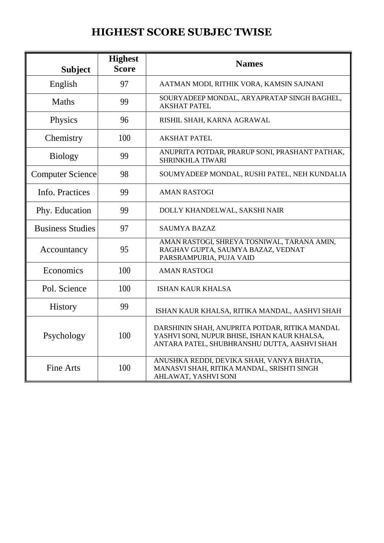# **HIGHEST SCORE SUBJEC TWISE**

| <b>Subject</b>          | <b>Highest</b><br><b>Score</b> | <b>Names</b>                                                                                                                                   |  |
|-------------------------|--------------------------------|------------------------------------------------------------------------------------------------------------------------------------------------|--|
| English                 | 97                             | AATMAN MODI, RITHIK VORA, KAMSIN SAJNANI                                                                                                       |  |
| <b>Maths</b>            | 99                             | SOURYADEEP MONDAL, ARYAPRATAP SINGH BAGHEL,<br><b>AKSHAT PATEL</b>                                                                             |  |
| Physics                 | 96                             | RISHIL SHAH, KARNA AGRAWAL                                                                                                                     |  |
| Chemistry               | 100                            | <b>AKSHAT PATEL</b>                                                                                                                            |  |
| <b>Biology</b>          | 99                             | ANUPRITA POTDAR, PRARUP SONI, PRASHANT PATHAK,<br><b>SHRINKHLA TIWARI</b>                                                                      |  |
| <b>Computer Science</b> | 98                             | SOUMYADEEP MONDAL, RUSHI PATEL, NEH KUNDALIA                                                                                                   |  |
| Info. Practices         | 99                             | <b>AMAN RASTOGI</b>                                                                                                                            |  |
| Phy. Education          | 99                             | DOLLY KHANDELWAL, SAKSHI NAIR                                                                                                                  |  |
| <b>Business Studies</b> | 97                             | <b>SAUMYA BAZAZ</b>                                                                                                                            |  |
| Accountancy             | 95                             | AMAN RASTOGI, SHREYA TOSNIWAL, TARANA AMIN,<br>RAGHAV GUPTA, SAUMYA BAZAZ, VEDNAT<br>PARSRAMPURIA, PUJA VAID                                   |  |
| Economics               | 100                            | <b>AMAN RASTOGI</b>                                                                                                                            |  |
| Pol. Science            | 100                            | <b>ISHAN KAUR KHALSA</b>                                                                                                                       |  |
| <b>History</b>          | 99                             | ISHAN KAUR KHALSA, RITIKA MANDAL, AASHVI SHAH                                                                                                  |  |
| Psychology              | 100                            | DARSHININ SHAH, ANUPRITA POTDAR, RITIKA MANDAL<br>YASHVI SONI, NUPUR BHISE, ISHAN KAUR KHALSA,<br>ANTARA PATEL, SHUBHRANSHU DUTTA, AASHVI SHAH |  |
| <b>Fine Arts</b>        | 100                            | ANUSHKA REDDI, DEVIKA SHAH, VANYA BHATIA,<br>MANASVI SHAH, RITIKA MANDAL, SRISHTI SINGH<br>AHLAWAT, YASHVI SONI                                |  |